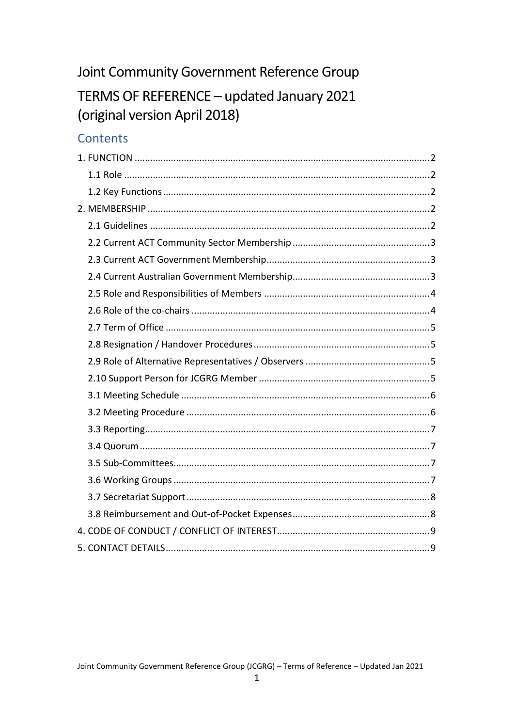# Joint Community Government Reference Group

# TERMS OF REFERENCE - updated January 2021 (original version April 2018)

# **Contents**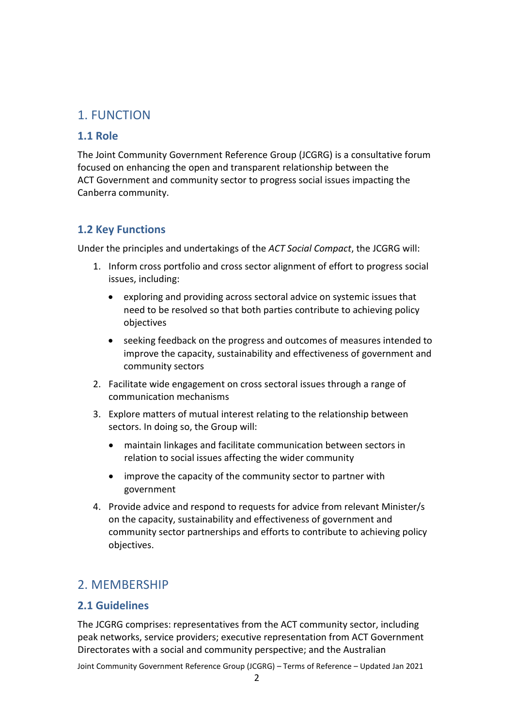## <span id="page-1-0"></span>1. FUNCTION

#### <span id="page-1-1"></span>**1.1 Role**

The Joint Community Government Reference Group (JCGRG) is a consultative forum focused on enhancing the open and transparent relationship between the ACT Government and community sector to progress social issues impacting the Canberra community.

#### <span id="page-1-2"></span>**1.2 Key Functions**

Under the principles and undertakings of the *ACT Social Compact*, the JCGRG will:

- 1. Inform cross portfolio and cross sector alignment of effort to progress social issues, including:
	- exploring and providing across sectoral advice on systemic issues that need to be resolved so that both parties contribute to achieving policy objectives
	- seeking feedback on the progress and outcomes of measures intended to improve the capacity, sustainability and effectiveness of government and community sectors
- 2. Facilitate wide engagement on cross sectoral issues through a range of communication mechanisms
- 3. Explore matters of mutual interest relating to the relationship between sectors. In doing so, the Group will:
	- maintain linkages and facilitate communication between sectors in relation to social issues affecting the wider community
	- improve the capacity of the community sector to partner with government
- 4. Provide advice and respond to requests for advice from relevant Minister/s on the capacity, sustainability and effectiveness of government and community sector partnerships and efforts to contribute to achieving policy objectives.

# <span id="page-1-3"></span>2. MEMBERSHIP

## <span id="page-1-4"></span>**2.1 Guidelines**

The JCGRG comprises: representatives from the ACT community sector, including peak networks, service providers; executive representation from ACT Government Directorates with a social and community perspective; and the Australian

Joint Community Government Reference Group (JCGRG) – Terms of Reference – Updated Jan 2021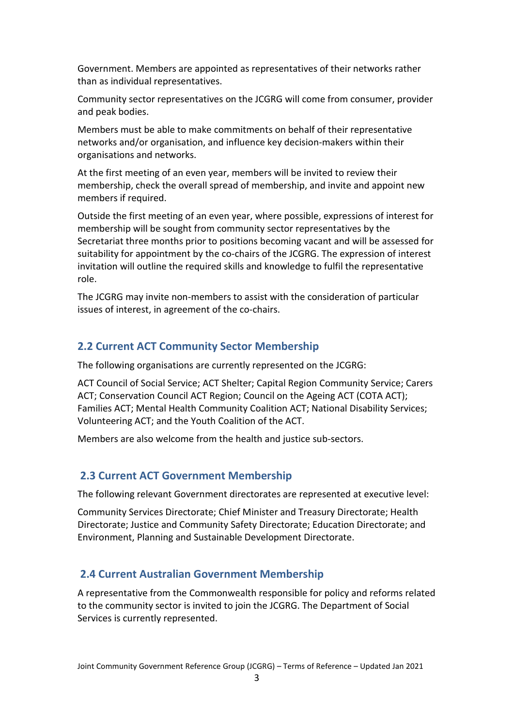Government. Members are appointed as representatives of their networks rather than as individual representatives.

Community sector representatives on the JCGRG will come from consumer, provider and peak bodies.

Members must be able to make commitments on behalf of their representative networks and/or organisation, and influence key decision-makers within their organisations and networks.

At the first meeting of an even year, members will be invited to review their membership, check the overall spread of membership, and invite and appoint new members if required.

Outside the first meeting of an even year, where possible, expressions of interest for membership will be sought from community sector representatives by the Secretariat three months prior to positions becoming vacant and will be assessed for suitability for appointment by the co-chairs of the JCGRG. The expression of interest invitation will outline the required skills and knowledge to fulfil the representative role.

The JCGRG may invite non-members to assist with the consideration of particular issues of interest, in agreement of the co-chairs.

#### <span id="page-2-0"></span>**2.2 Current ACT Community Sector Membership**

The following organisations are currently represented on the JCGRG:

ACT Council of Social Service; ACT Shelter; Capital Region Community Service; Carers ACT; Conservation Council ACT Region; Council on the Ageing ACT (COTA ACT); Families ACT; Mental Health Community Coalition ACT; National Disability Services; Volunteering ACT; and the Youth Coalition of the ACT.

Members are also welcome from the health and justice sub-sectors.

#### <span id="page-2-1"></span>**2.3 Current ACT Government Membership**

The following relevant Government directorates are represented at executive level:

Community Services Directorate; Chief Minister and Treasury Directorate; Health Directorate; Justice and Community Safety Directorate; Education Directorate; and Environment, Planning and Sustainable Development Directorate.

#### <span id="page-2-2"></span>**2.4 Current Australian Government Membership**

A representative from the Commonwealth responsible for policy and reforms related to the community sector is invited to join the JCGRG. The Department of Social Services is currently represented.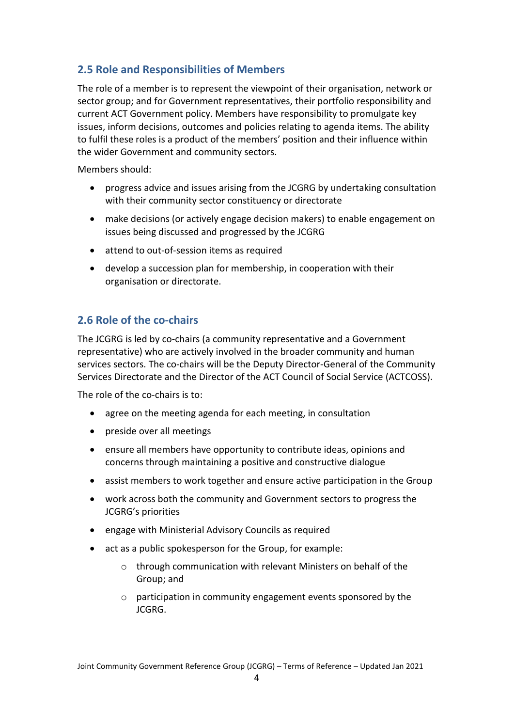## <span id="page-3-0"></span>**2.5 Role and Responsibilities of Members**

The role of a member is to represent the viewpoint of their organisation, network or sector group; and for Government representatives, their portfolio responsibility and current ACT Government policy. Members have responsibility to promulgate key issues, inform decisions, outcomes and policies relating to agenda items. The ability to fulfil these roles is a product of the members' position and their influence within the wider Government and community sectors.

Members should:

- progress advice and issues arising from the JCGRG by undertaking consultation with their community sector constituency or directorate
- make decisions (or actively engage decision makers) to enable engagement on issues being discussed and progressed by the JCGRG
- attend to out-of-session items as required
- develop a succession plan for membership, in cooperation with their organisation or directorate.

## <span id="page-3-1"></span>**2.6 Role of the co-chairs**

The JCGRG is led by co-chairs (a community representative and a Government representative) who are actively involved in the broader community and human services sectors. The co-chairs will be the Deputy Director-General of the Community Services Directorate and the Director of the ACT Council of Social Service (ACTCOSS).

The role of the co-chairs is to:

- agree on the meeting agenda for each meeting, in consultation
- preside over all meetings
- ensure all members have opportunity to contribute ideas, opinions and concerns through maintaining a positive and constructive dialogue
- assist members to work together and ensure active participation in the Group
- work across both the community and Government sectors to progress the JCGRG's priorities
- engage with Ministerial Advisory Councils as required
- act as a public spokesperson for the Group, for example:
	- o through communication with relevant Ministers on behalf of the Group; and
	- o participation in community engagement events sponsored by the JCGRG.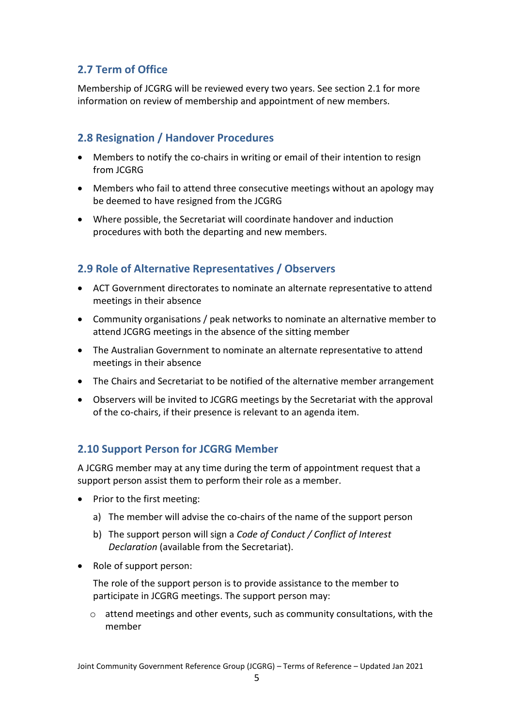## <span id="page-4-0"></span>**2.7 Term of Office**

Membership of JCGRG will be reviewed every two years. See section 2.1 for more information on review of membership and appointment of new members.

#### <span id="page-4-1"></span>**2.8 Resignation / Handover Procedures**

- Members to notify the co-chairs in writing or email of their intention to resign from JCGRG
- Members who fail to attend three consecutive meetings without an apology may be deemed to have resigned from the JCGRG
- Where possible, the Secretariat will coordinate handover and induction procedures with both the departing and new members.

## <span id="page-4-2"></span>**2.9 Role of Alternative Representatives / Observers**

- ACT Government directorates to nominate an alternate representative to attend meetings in their absence
- Community organisations / peak networks to nominate an alternative member to attend JCGRG meetings in the absence of the sitting member
- The Australian Government to nominate an alternate representative to attend meetings in their absence
- The Chairs and Secretariat to be notified of the alternative member arrangement
- Observers will be invited to JCGRG meetings by the Secretariat with the approval of the co-chairs, if their presence is relevant to an agenda item.

## <span id="page-4-3"></span>**2.10 Support Person for JCGRG Member**

A JCGRG member may at any time during the term of appointment request that a support person assist them to perform their role as a member.

- Prior to the first meeting:
	- a) The member will advise the co-chairs of the name of the support person
	- b) The support person will sign a *Code of Conduct / Conflict of Interest Declaration* (available from the Secretariat).
- Role of support person:

The role of the support person is to provide assistance to the member to participate in JCGRG meetings. The support person may:

o attend meetings and other events, such as community consultations, with the member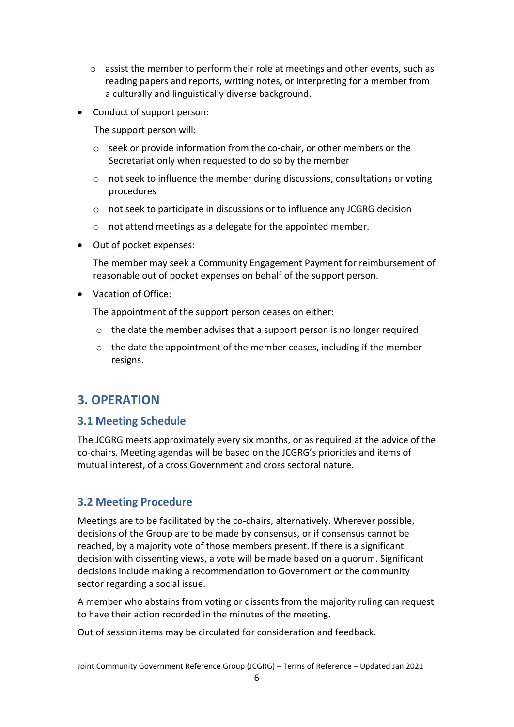- o assist the member to perform their role at meetings and other events, such as reading papers and reports, writing notes, or interpreting for a member from a culturally and linguistically diverse background.
- Conduct of support person:

The support person will:

- o seek or provide information from the co-chair, or other members or the Secretariat only when requested to do so by the member
- o not seek to influence the member during discussions, consultations or voting procedures
- o not seek to participate in discussions or to influence any JCGRG decision
- o not attend meetings as a delegate for the appointed member.
- Out of pocket expenses:

The member may seek a Community Engagement Payment for reimbursement of reasonable out of pocket expenses on behalf of the support person.

• Vacation of Office:

The appointment of the support person ceases on either:

- $\circ$  the date the member advises that a support person is no longer required
- $\circ$  the date the appointment of the member ceases, including if the member resigns.

## **3. OPERATION**

#### <span id="page-5-0"></span>**3.1 Meeting Schedule**

The JCGRG meets approximately every six months, or as required at the advice of the co-chairs. Meeting agendas will be based on the JCGRG's priorities and items of mutual interest, of a cross Government and cross sectoral nature.

#### <span id="page-5-1"></span>**3.2 Meeting Procedure**

Meetings are to be facilitated by the co-chairs, alternatively. Wherever possible, decisions of the Group are to be made by consensus, or if consensus cannot be reached, by a majority vote of those members present. If there is a significant decision with dissenting views, a vote will be made based on a quorum. Significant decisions include making a recommendation to Government or the community sector regarding a social issue.

A member who abstains from voting or dissents from the majority ruling can request to have their action recorded in the minutes of the meeting.

Out of session items may be circulated for consideration and feedback.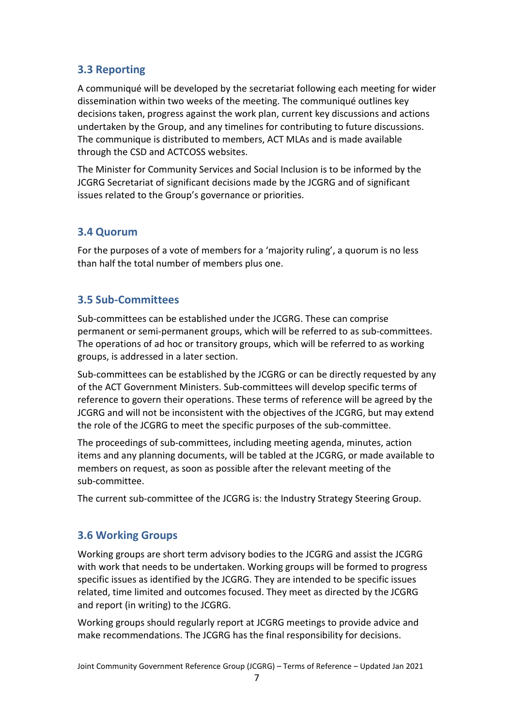## <span id="page-6-0"></span>**3.3 Reporting**

A communiqué will be developed by the secretariat following each meeting for wider dissemination within two weeks of the meeting. The communiqué outlines key decisions taken, progress against the work plan, current key discussions and actions undertaken by the Group, and any timelines for contributing to future discussions. The communique is distributed to members, ACT MLAs and is made available through the CSD and ACTCOSS websites.

The Minister for Community Services and Social Inclusion is to be informed by the JCGRG Secretariat of significant decisions made by the JCGRG and of significant issues related to the Group's governance or priorities.

#### <span id="page-6-1"></span>**3.4 Quorum**

For the purposes of a vote of members for a 'majority ruling', a quorum is no less than half the total number of members plus one.

#### <span id="page-6-2"></span>**3.5 Sub-Committees**

Sub-committees can be established under the JCGRG. These can comprise permanent or semi-permanent groups, which will be referred to as sub-committees. The operations of ad hoc or transitory groups, which will be referred to as working groups, is addressed in a later section.

Sub-committees can be established by the JCGRG or can be directly requested by any of the ACT Government Ministers. Sub-committees will develop specific terms of reference to govern their operations. These terms of reference will be agreed by the JCGRG and will not be inconsistent with the objectives of the JCGRG, but may extend the role of the JCGRG to meet the specific purposes of the sub-committee.

The proceedings of sub-committees, including meeting agenda, minutes, action items and any planning documents, will be tabled at the JCGRG, or made available to members on request, as soon as possible after the relevant meeting of the sub-committee.

The current sub-committee of the JCGRG is: the Industry Strategy Steering Group.

#### <span id="page-6-3"></span>**3.6 Working Groups**

Working groups are short term advisory bodies to the JCGRG and assist the JCGRG with work that needs to be undertaken. Working groups will be formed to progress specific issues as identified by the JCGRG. They are intended to be specific issues related, time limited and outcomes focused. They meet as directed by the JCGRG and report (in writing) to the JCGRG.

Working groups should regularly report at JCGRG meetings to provide advice and make recommendations. The JCGRG has the final responsibility for decisions.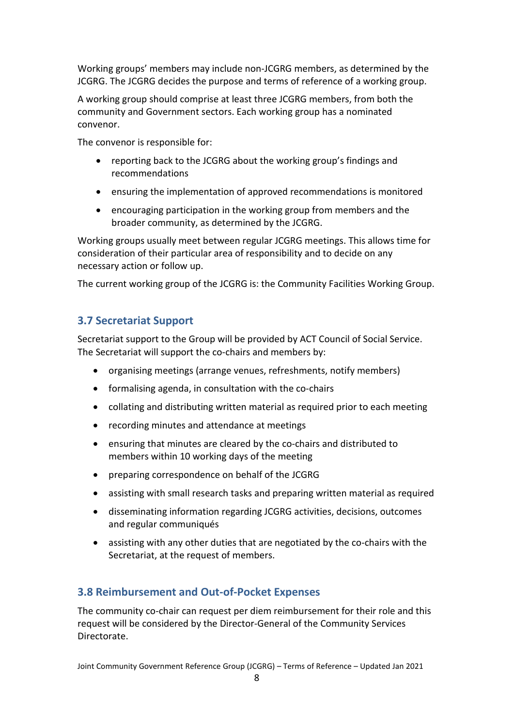Working groups' members may include non-JCGRG members, as determined by the JCGRG. The JCGRG decides the purpose and terms of reference of a working group.

A working group should comprise at least three JCGRG members, from both the community and Government sectors. Each working group has a nominated convenor.

The convenor is responsible for:

- reporting back to the JCGRG about the working group's findings and recommendations
- ensuring the implementation of approved recommendations is monitored
- encouraging participation in the working group from members and the broader community, as determined by the JCGRG.

Working groups usually meet between regular JCGRG meetings. This allows time for consideration of their particular area of responsibility and to decide on any necessary action or follow up.

The current working group of the JCGRG is: the Community Facilities Working Group.

## <span id="page-7-0"></span>**3.7 Secretariat Support**

Secretariat support to the Group will be provided by ACT Council of Social Service. The Secretariat will support the co-chairs and members by:

- organising meetings (arrange venues, refreshments, notify members)
- formalising agenda, in consultation with the co-chairs
- collating and distributing written material as required prior to each meeting
- recording minutes and attendance at meetings
- ensuring that minutes are cleared by the co-chairs and distributed to members within 10 working days of the meeting
- preparing correspondence on behalf of the JCGRG
- assisting with small research tasks and preparing written material as required
- disseminating information regarding JCGRG activities, decisions, outcomes and regular communiqués
- assisting with any other duties that are negotiated by the co-chairs with the Secretariat, at the request of members.

## <span id="page-7-1"></span>**3.8 Reimbursement and Out-of-Pocket Expenses**

The community co-chair can request per diem reimbursement for their role and this request will be considered by the Director-General of the Community Services Directorate.

Joint Community Government Reference Group (JCGRG) – Terms of Reference – Updated Jan 2021